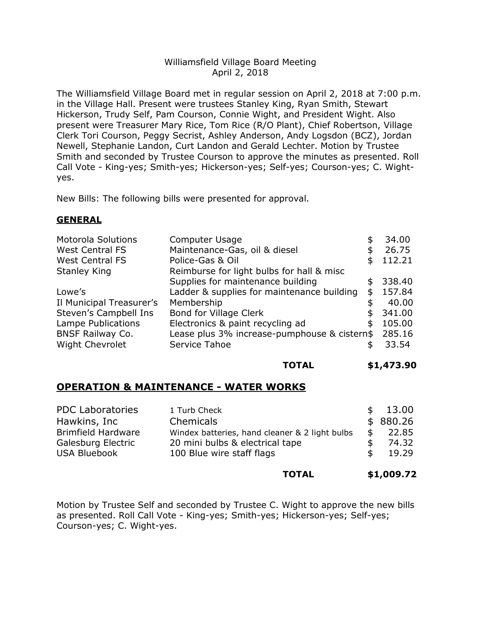## Williamsfield Village Board Meeting April 2, 2018

The Williamsfield Village Board met in regular session on April 2, 2018 at 7:00 p.m. in the Village Hall. Present were trustees Stanley King, Ryan Smith, Stewart Hickerson, Trudy Self, Pam Courson, Connie Wight, and President Wight. Also present were Treasurer Mary Rice, Tom Rice (R/O Plant), Chief Robertson, Village Clerk Tori Courson, Peggy Secrist, Ashley Anderson, Andy Logsdon (BCZ), Jordan Newell, Stephanie Landon, Curt Landon and Gerald Lechter. Motion by Trustee Smith and seconded by Trustee Courson to approve the minutes as presented. Roll Call Vote - King-yes; Smith-yes; Hickerson-yes; Self-yes; Courson-yes; C. Wightyes.

New Bills: The following bills were presented for approval.

## **GENERAL**

| <b>Motorola Solutions</b> | Computer Usage                               | S  | 34.00  |
|---------------------------|----------------------------------------------|----|--------|
| <b>West Central FS</b>    | Maintenance-Gas, oil & diesel                | \$ | 26.75  |
| <b>West Central FS</b>    | Police-Gas & Oil                             | \$ | 112.21 |
| <b>Stanley King</b>       | Reimburse for light bulbs for hall & misc    |    |        |
|                           | Supplies for maintenance building            | \$ | 338.40 |
| Lowe's                    | Ladder & supplies for maintenance building   | \$ | 157.84 |
| Il Municipal Treasurer's  | Membership                                   |    | 40.00  |
| Steven's Campbell Ins     | <b>Bond for Village Clerk</b>                |    | 341.00 |
| Lampe Publications        | Electronics & paint recycling ad             | \$ | 105.00 |
| <b>BNSF Railway Co.</b>   | Lease plus 3% increase-pumphouse & cistern\$ |    | 285.16 |
| <b>Wight Chevrolet</b>    | Service Tahoe                                |    | 33.54  |

### **TOTAL \$1,473.90**

# **OPERATION & MAINTENANCE - WATER WORKS**

| <b>PDC Laboratories</b>   | 1 Turb Check                                   |     | \$13.00  |
|---------------------------|------------------------------------------------|-----|----------|
| Hawkins, Inc              | Chemicals                                      |     | \$880.26 |
| <b>Brimfield Hardware</b> | Windex batteries, hand cleaner & 2 light bulbs |     | 22.85    |
| Galesburg Electric        | 20 mini bulbs & electrical tape                |     | 74.32    |
| <b>USA Bluebook</b>       | 100 Blue wire staff flags                      | \$. | 19.29    |
|                           |                                                |     |          |

### **TOTAL \$1,009.72**

Motion by Trustee Self and seconded by Trustee C. Wight to approve the new bills as presented. Roll Call Vote - King-yes; Smith-yes; Hickerson-yes; Self-yes; Courson-yes; C. Wight-yes.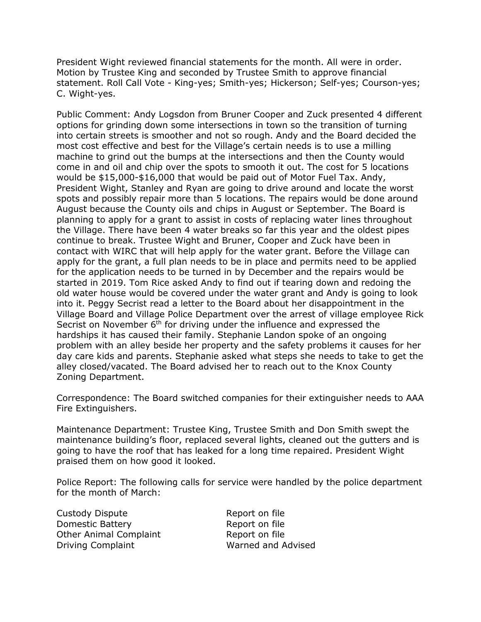President Wight reviewed financial statements for the month. All were in order. Motion by Trustee King and seconded by Trustee Smith to approve financial statement. Roll Call Vote - King-yes; Smith-yes; Hickerson; Self-yes; Courson-yes; C. Wight-yes.

Public Comment: Andy Logsdon from Bruner Cooper and Zuck presented 4 different options for grinding down some intersections in town so the transition of turning into certain streets is smoother and not so rough. Andy and the Board decided the most cost effective and best for the Village's certain needs is to use a milling machine to grind out the bumps at the intersections and then the County would come in and oil and chip over the spots to smooth it out. The cost for 5 locations would be \$15,000-\$16,000 that would be paid out of Motor Fuel Tax. Andy, President Wight, Stanley and Ryan are going to drive around and locate the worst spots and possibly repair more than 5 locations. The repairs would be done around August because the County oils and chips in August or September. The Board is planning to apply for a grant to assist in costs of replacing water lines throughout the Village. There have been 4 water breaks so far this year and the oldest pipes continue to break. Trustee Wight and Bruner, Cooper and Zuck have been in contact with WIRC that will help apply for the water grant. Before the Village can apply for the grant, a full plan needs to be in place and permits need to be applied for the application needs to be turned in by December and the repairs would be started in 2019. Tom Rice asked Andy to find out if tearing down and redoing the old water house would be covered under the water grant and Andy is going to look into it. Peggy Secrist read a letter to the Board about her disappointment in the Village Board and Village Police Department over the arrest of village employee Rick Secrist on November 6<sup>th</sup> for driving under the influence and expressed the hardships it has caused their family. Stephanie Landon spoke of an ongoing problem with an alley beside her property and the safety problems it causes for her day care kids and parents. Stephanie asked what steps she needs to take to get the alley closed/vacated. The Board advised her to reach out to the Knox County Zoning Department.

Correspondence: The Board switched companies for their extinguisher needs to AAA Fire Extinguishers.

Maintenance Department: Trustee King, Trustee Smith and Don Smith swept the maintenance building's floor, replaced several lights, cleaned out the gutters and is going to have the roof that has leaked for a long time repaired. President Wight praised them on how good it looked.

Police Report: The following calls for service were handled by the police department for the month of March:

Custody Dispute **Report on file** Domestic Battery **Report on file** Other Animal Complaint Report on file Driving Complaint Warned and Advised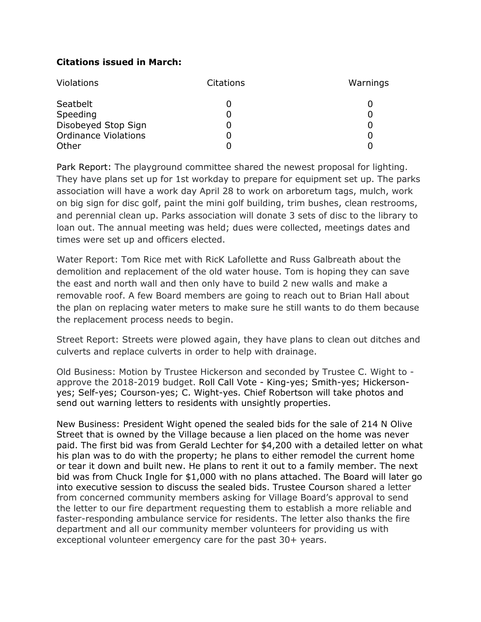# **Citations issued in March:**

| <b>Violations</b>           | Citations | Warnings |
|-----------------------------|-----------|----------|
| Seatbelt                    | O         |          |
| Speeding                    | 0         |          |
| Disobeyed Stop Sign         | Ü         |          |
| <b>Ordinance Violations</b> | 0         |          |
| Other                       |           |          |

Park Report: The playground committee shared the newest proposal for lighting. They have plans set up for 1st workday to prepare for equipment set up. The parks association will have a work day April 28 to work on arboretum tags, mulch, work on big sign for disc golf, paint the mini golf building, trim bushes, clean restrooms, and perennial clean up. Parks association will donate 3 sets of disc to the library to loan out. The annual meeting was held; dues were collected, meetings dates and times were set up and officers elected.

Water Report: Tom Rice met with RicK Lafollette and Russ Galbreath about the demolition and replacement of the old water house. Tom is hoping they can save the east and north wall and then only have to build 2 new walls and make a removable roof. A few Board members are going to reach out to Brian Hall about the plan on replacing water meters to make sure he still wants to do them because the replacement process needs to begin.

Street Report: Streets were plowed again, they have plans to clean out ditches and culverts and replace culverts in order to help with drainage.

Old Business: Motion by Trustee Hickerson and seconded by Trustee C. Wight to approve the 2018-2019 budget. Roll Call Vote - King-yes; Smith-yes; Hickersonyes; Self-yes; Courson-yes; C. Wight-yes. Chief Robertson will take photos and send out warning letters to residents with unsightly properties.

New Business: President Wight opened the sealed bids for the sale of 214 N Olive Street that is owned by the Village because a lien placed on the home was never paid. The first bid was from Gerald Lechter for \$4,200 with a detailed letter on what his plan was to do with the property; he plans to either remodel the current home or tear it down and built new. He plans to rent it out to a family member. The next bid was from Chuck Ingle for \$1,000 with no plans attached. The Board will later go into executive session to discuss the sealed bids. Trustee Courson shared a letter from concerned community members asking for Village Board's approval to send the letter to our fire department requesting them to establish a more reliable and faster-responding ambulance service for residents. The letter also thanks the fire department and all our community member volunteers for providing us with exceptional volunteer emergency care for the past 30+ years.